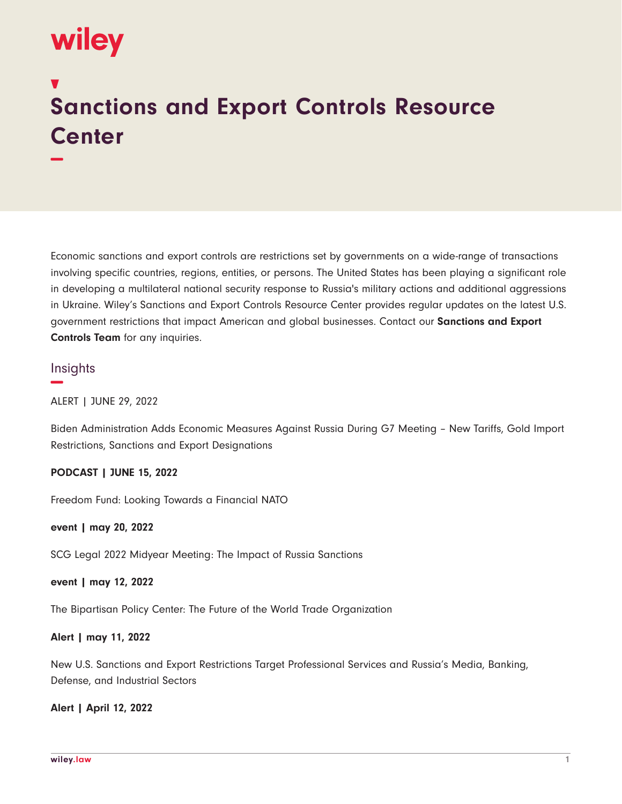# wiley

**−**

# **Sanctions and Export Controls Resource Center**

Economic sanctions and export controls are restrictions set by governments on a wide-range of transactions involving specific countries, regions, entities, or persons. The United States has been playing a significant role in developing a multilateral national security response to Russia's military actions and additional aggressions in Ukraine. Wiley's Sanctions and Export Controls Resource Center provides regular updates on the latest U.S. government restrictions that impact American and global businesses. Contact our **Sanctions and Export Controls Team** for any inquiries.

# **Insights**

**−**

ALERT | JUNE 29, 2022

Biden Administration Adds Economic Measures Against Russia During G7 Meeting – New Tariffs, Gold Import Restrictions, Sanctions and Export Designations

# **PODCAST | JUNE 15, 2022**

Freedom Fund: Looking Towards a Financial NATO

**event | may 20, 2022**

SCG Legal 2022 Midyear Meeting: The Impact of Russia Sanctions

#### **event | may 12, 2022**

The Bipartisan Policy Center: The Future of the World Trade Organization

# **Alert | may 11, 2022**

New U.S. Sanctions and Export Restrictions Target Professional Services and Russia's Media, Banking, Defense, and Industrial Sectors

#### **Alert | April 12, 2022**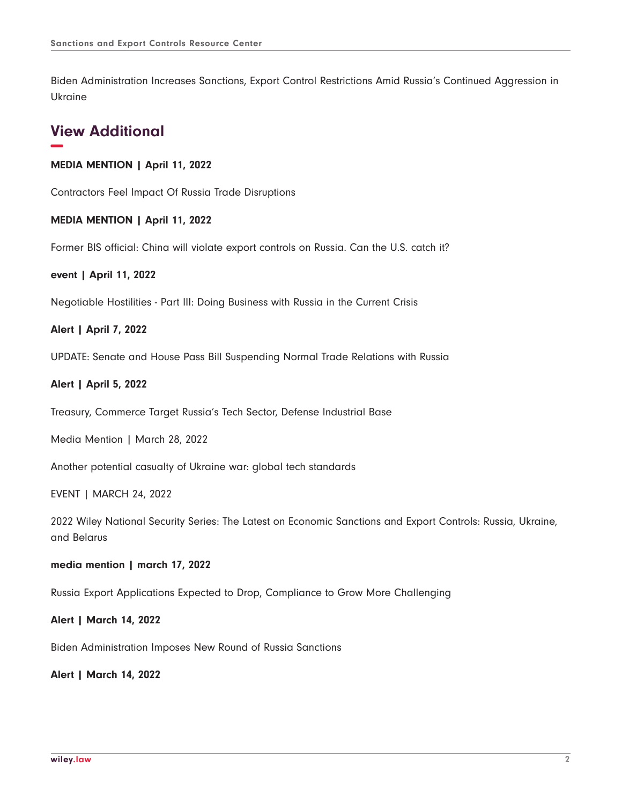Biden Administration Increases Sanctions, Export Control Restrictions Amid Russia's Continued Aggression in Ukraine

# **View Additional −**

# **MEDIA MENTION | April 11, 2022**

Contractors Feel Impact Of Russia Trade Disruptions

#### **MEDIA MENTION | April 11, 2022**

Former BIS official: China will violate export controls on Russia. Can the U.S. catch it?

#### **event | April 11, 2022**

Negotiable Hostilities - Part III: Doing Business with Russia in the Current Crisis

#### **Alert | April 7, 2022**

UPDATE: Senate and House Pass Bill Suspending Normal Trade Relations with Russia

# **Alert | April 5, 2022**

Treasury, Commerce Target Russia's Tech Sector, Defense Industrial Base

Media Mention | March 28, 2022

Another potential casualty of Ukraine war: global tech standards

EVENT | MARCH 24, 2022

2022 Wiley National Security Series: The Latest on Economic Sanctions and Export Controls: Russia, Ukraine, and Belarus

#### **media mention | march 17, 2022**

Russia Export Applications Expected to Drop, Compliance to Grow More Challenging

**Alert | March 14, 2022**

Biden Administration Imposes New Round of Russia Sanctions

**Alert | March 14, 2022**